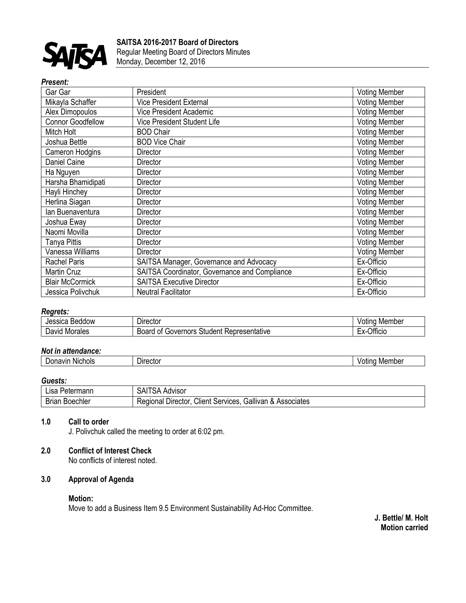

#### *Present:*

| Gar Gar                  | President                                     | <b>Voting Member</b> |
|--------------------------|-----------------------------------------------|----------------------|
| Mikayla Schaffer         | <b>Vice President External</b>                | <b>Voting Member</b> |
| Alex Dimopoulos          | <b>Vice President Academic</b>                | <b>Voting Member</b> |
| <b>Connor Goodfellow</b> | <b>Vice President Student Life</b>            | <b>Voting Member</b> |
| Mitch Holt               | <b>BOD Chair</b>                              | <b>Voting Member</b> |
| Joshua Bettle            | <b>BOD Vice Chair</b>                         | <b>Voting Member</b> |
| <b>Cameron Hodgins</b>   | <b>Director</b>                               | <b>Voting Member</b> |
| Daniel Caine             | Director                                      | <b>Voting Member</b> |
| Ha Nguyen                | Director                                      | <b>Voting Member</b> |
| Harsha Bhamidipati       | Director                                      | <b>Voting Member</b> |
| Hayli Hinchey            | <b>Director</b>                               | <b>Voting Member</b> |
| Herlina Siagan           | Director                                      | <b>Voting Member</b> |
| lan Buenaventura         | <b>Director</b>                               | <b>Voting Member</b> |
| Joshua Eway              | Director                                      | <b>Voting Member</b> |
| Naomi Movilla            | <b>Director</b>                               | <b>Voting Member</b> |
| Tanya Pittis             | <b>Director</b>                               | <b>Voting Member</b> |
| Vanessa Williams         | <b>Director</b>                               | <b>Voting Member</b> |
| <b>Rachel Paris</b>      | SAITSA Manager, Governance and Advocacy       | Ex-Officio           |
| Martin Cruz              | SAITSA Coordinator, Governance and Compliance | Ex-Officio           |
| <b>Blair McCormick</b>   | <b>SAITSA Executive Director</b>              | Ex-Officio           |
| Jessica Polivchuk        | <b>Neutral Facilitator</b>                    | Ex-Officio           |

## *Regrets:*

| Jessica<br><b>Beddow</b> | --<br><b>Director</b>                                 | Member<br>$1 - 1 - 1$<br>ηa<br>′Olli |
|--------------------------|-------------------------------------------------------|--------------------------------------|
| -<br>Morales<br>David    | Board<br>Representative<br>Student<br>Governors<br>Οt | $\sim$ cm<br>Officio<br>–^           |

### *Not in attendance:*

| <br><b>Nichols</b><br>navır<br>⊃on∼<br>- | rector<br>Jire<br>. | Member<br>itinc<br>'OL |
|------------------------------------------|---------------------|------------------------|

#### *Guests:*

| ∟isa '<br>Petermann   | A Advisor<br>⊣ت.<br>ורש                                                       |
|-----------------------|-------------------------------------------------------------------------------|
| <b>Brian Boechler</b> | Client Services,<br>Gallivan<br>। & Associates<br>≺eɑional<br><b>Director</b> |

#### **1.0 Call to order**

J. Polivchuk called the meeting to order at 6:02 pm.

# **2.0 Conflict of Interest Check**

No conflicts of interest noted.

# **3.0 Approval of Agenda**

### **Motion:**

Move to add a Business Item 9.5 Environment Sustainability Ad-Hoc Committee.

**J. Bettle/ M. Holt Motion carried**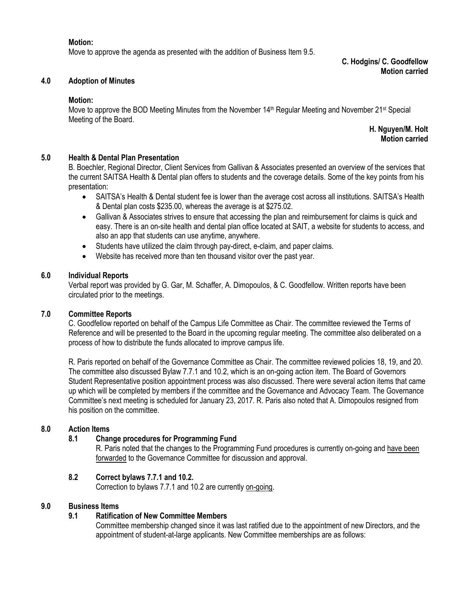#### **Motion:**

Move to approve the agenda as presented with the addition of Business Item 9.5.

**C. Hodgins/ C. Goodfellow Motion carried**

#### **4.0 Adoption of Minutes**

#### **Motion:**

Move to approve the BOD Meeting Minutes from the November 14<sup>th</sup> Regular Meeting and November 21<sup>st</sup> Special Meeting of the Board.

> **H. Nguyen/M. Holt Motion carried**

### **5.0 Health & Dental Plan Presentation**

B. Boechler, Regional Director, Client Services from Gallivan & Associates presented an overview of the services that the current SAITSA Health & Dental plan offers to students and the coverage details. Some of the key points from his presentation:

- SAITSA's Health & Dental student fee is lower than the average cost across all institutions. SAITSA's Health & Dental plan costs \$235.00, whereas the average is at \$275.02.
- Gallivan & Associates strives to ensure that accessing the plan and reimbursement for claims is quick and easy. There is an on-site health and dental plan office located at SAIT, a website for students to access, and also an app that students can use anytime, anywhere.
- Students have utilized the claim through pay-direct, e-claim, and paper claims.
- Website has received more than ten thousand visitor over the past year.

#### **6.0 Individual Reports**

Verbal report was provided by G. Gar, M. Schaffer, A. Dimopoulos, & C. Goodfellow. Written reports have been circulated prior to the meetings.

### **7.0 Committee Reports**

C. Goodfellow reported on behalf of the Campus Life Committee as Chair. The committee reviewed the Terms of Reference and will be presented to the Board in the upcoming regular meeting. The committee also deliberated on a process of how to distribute the funds allocated to improve campus life.

R. Paris reported on behalf of the Governance Committee as Chair. The committee reviewed policies 18, 19, and 20. The committee also discussed Bylaw 7.7.1 and 10.2, which is an on-going action item. The Board of Governors Student Representative position appointment process was also discussed. There were several action items that came up which will be completed by members if the committee and the Governance and Advocacy Team. The Governance Committee's next meeting is scheduled for January 23, 2017. R. Paris also noted that A. Dimopoulos resigned from his position on the committee.

#### **8.0 Action Items**

#### **8.1 Change procedures for Programming Fund**

R. Paris noted that the changes to the Programming Fund procedures is currently on-going and have been forwarded to the Governance Committee for discussion and approval.

### **8.2 Correct bylaws 7.7.1 and 10.2.**

Correction to bylaws 7.7.1 and 10.2 are currently on-going.

#### **9.0 Business Items**

### **9.1 Ratification of New Committee Members**

Committee membership changed since it was last ratified due to the appointment of new Directors, and the appointment of student-at-large applicants. New Committee memberships are as follows: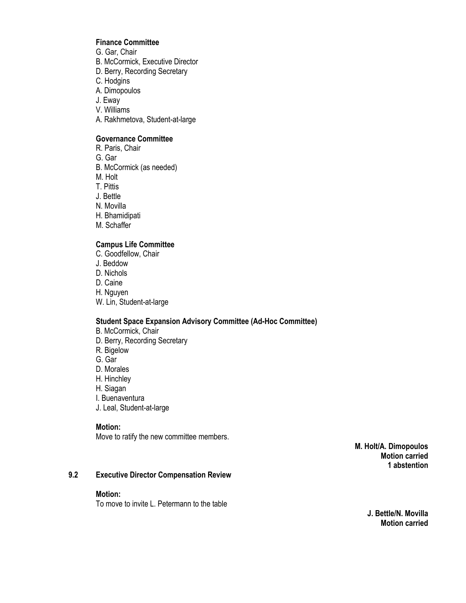## **Finance Committee**

- G. Gar, Chair
- B. McCormick, Executive Director
- D. Berry, Recording Secretary
- C. Hodgins
- A. Dimopoulos
- J. Eway
- V. Williams
- A. Rakhmetova, Student-at-large

### **Governance Committee**

- R. Paris, Chair
- G. Gar
- B. McCormick (as needed)
- M. Holt
- T. Pittis
- J. Bettle
- N. Movilla
- H. Bhamidipati
- M. Schaffer

### **Campus Life Committee**

- C. Goodfellow, Chair
- J. Beddow
- D. Nichols
- D. Caine
- H. Nguyen
- W. Lin, Student-at-large

#### **Student Space Expansion Advisory Committee (Ad-Hoc Committee)**

- B. McCormick, Chair D. Berry, Recording Secretary R. Bigelow G. Gar D. Morales H. Hinchley
- H. Siagan
- I. Buenaventura
- J. Leal, Student-at-large

### **Motion:**

Move to ratify the new committee members.

**M. Holt/A. Dimopoulos Motion carried 1 abstention**

### **9.2 Executive Director Compensation Review**

#### **Motion:**

To move to invite L. Petermann to the table

**J. Bettle/N. Movilla Motion carried**